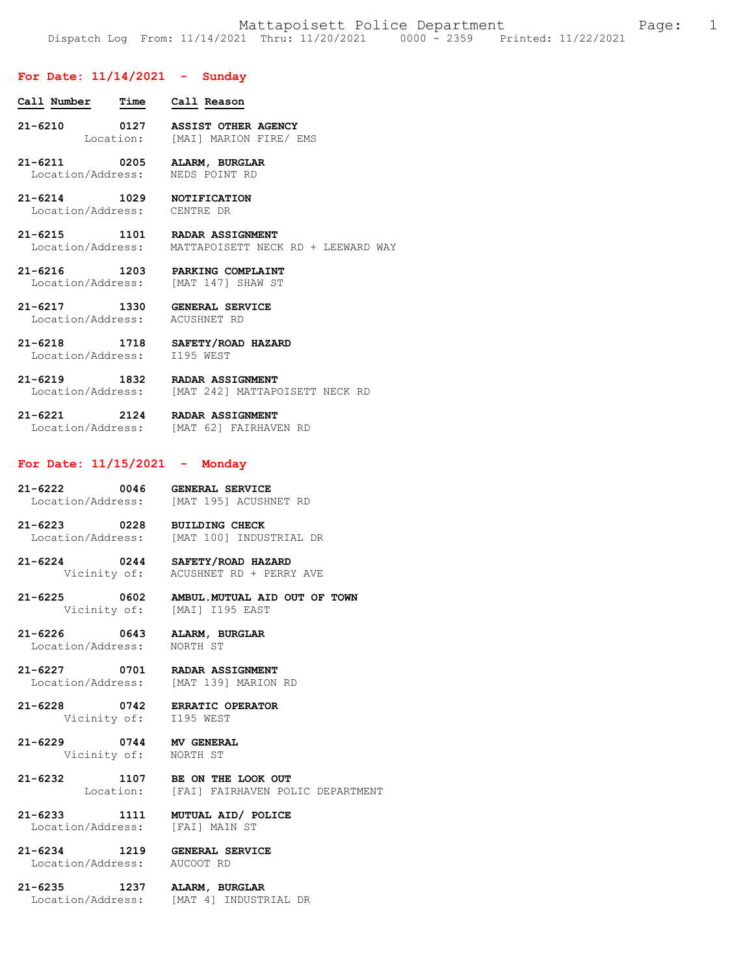### **For Date: 11/14/2021 - Sunday**

- **Call Number Time Call Reason 21-6210 0127 ASSIST OTHER AGENCY**  Location: [MAI] MARION FIRE/ EMS
- **21-6211 0205 ALARM, BURGLAR**  Location/Address:
- **21-6214 1029 NOTIFICATION**  Location/Address: CENTRE DR
- **21-6215 1101 RADAR ASSIGNMENT**  MATTAPOISETT NECK RD + LEEWARD WAY
- **21-6216 1203 PARKING COMPLAINT**  Location/Address: [MAT 147] SHAW ST
- **21-6217 1330 GENERAL SERVICE**  Location/Address: ACUSHNET RD
- **21-6218 1718 SAFETY/ROAD HAZARD**  Location/Address:
- **21-6219 1832 RADAR ASSIGNMENT**  Location/Address: [MAT 242] MATTAPOISETT NECK RD
- **21-6221 2124 RADAR ASSIGNMENT**  Location/Address: [MAT 62] FAIRHAVEN RD

#### **For Date: 11/15/2021 - Monday**

- **21-6222 0046 GENERAL SERVICE**  Location/Address: [MAT 195] ACUSHNET RD
- **21-6223 0228 BUILDING CHECK**  Location/Address: [MAT 100] INDUSTRIAL DR
- **21-6224 0244 SAFETY/ROAD HAZARD**  Vicinity of: ACUSHNET RD + PERRY AVE
- **21-6225 0602 AMBUL.MUTUAL AID OUT OF TOWN**  [MAI] I195 EAST
- **21-6226 0643 ALARM, BURGLAR**  Location/Address: NORTH ST
- **21-6227 0701 RADAR ASSIGNMENT**  Location/Address: [MAT 139] MARION RD
- **21-6228 0742 ERRATIC OPERATOR**  Vicinity of: I195 WEST
- **21-6229 0744 MV GENERAL**  Vicinity of:
- **21-6232 1107 BE ON THE LOOK OUT**  [FAI] FAIRHAVEN POLIC DEPARTMENT
- **21-6233 1111 MUTUAL AID/ POLICE**  Location/Address: [FAI] MAIN ST
- **21-6234 1219 GENERAL SERVICE**  Location/Address:
- **21-6235 1237 ALARM, BURGLAR**  Location/Address: [MAT 4] INDUSTRIAL DR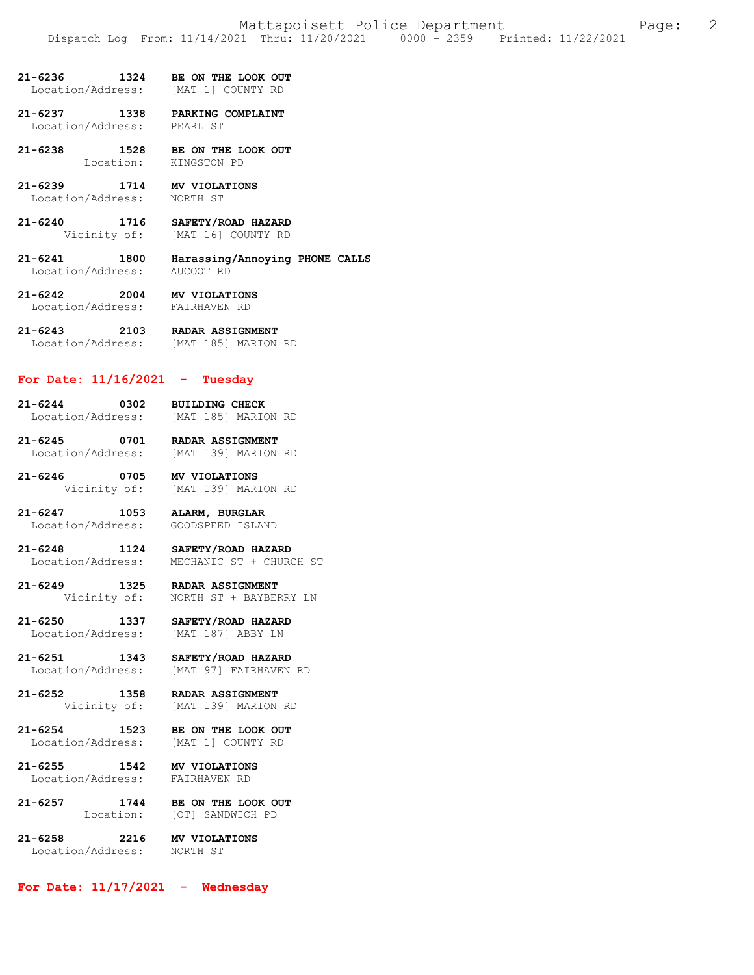| 21-6236 | 1324 | BE ON THE LOOK OUT |  |  |
|---------|------|--------------------|--|--|
|         |      |                    |  |  |

Location/Address: [MAT 1] COUNTY RD

**21-6237 1338 PARKING COMPLAINT**  Location/Address: PEARL ST

**21-6238 1528 BE ON THE LOOK OUT**  Location: KINGSTON PD

**21-6239 1714 MV VIOLATIONS**  Location/Address:

**21-6240 1716 SAFETY/ROAD HAZARD**  Vicinity of: [MAT 16] COUNTY RD

**21-6241 1800 Harassing/Annoying PHONE CALLS**  Location/Address: AUCOOT RD

**21-6242 2004 MV VIOLATIONS**  Location/Address:

**21-6243 2103 RADAR ASSIGNMENT**  Location/Address: [MAT 185] MARION RD

#### **For Date: 11/16/2021 - Tuesday**

**21-6244 0302 BUILDING CHECK**  Location/Address: [MAT 185] MARION RD

**21-6245 0701 RADAR ASSIGNMENT**  Location/Address:

**21-6246 0705 MV VIOLATIONS**  Vicinity of: [MAT 139] MARION RD

**21-6247 1053 ALARM, BURGLAR**  Location/Address: GOODSPEED ISLAND

**21-6248 1124 SAFETY/ROAD HAZARD**  Location/Address: MECHANIC ST + CHURCH ST

**21-6249 1325 RADAR ASSIGNMENT**  Vicinity of: NORTH ST + BAYBERRY LN

**21-6250 1337 SAFETY/ROAD HAZARD**  Location/Address: [MAT 187] ABBY LN

**21-6251 1343 SAFETY/ROAD HAZARD**  [MAT 97] FAIRHAVEN RD

**21-6252 1358 RADAR ASSIGNMENT**  Vicinity of: [MAT 139] MARION RD

**21-6254 1523 BE ON THE LOOK OUT**  Location/Address: [MAT 1] COUNTY RD

**21-6255 1542 MV VIOLATIONS**  Location/Address: FAIRHAVEN RD

**21-6257 1744 BE ON THE LOOK OUT**  Location: [OT] SANDWICH PD

21-6258 2216 **MV VIOLATIONS**<br>Location/Address: NORTH ST Location/Address:

**For Date: 11/17/2021 - Wednesday**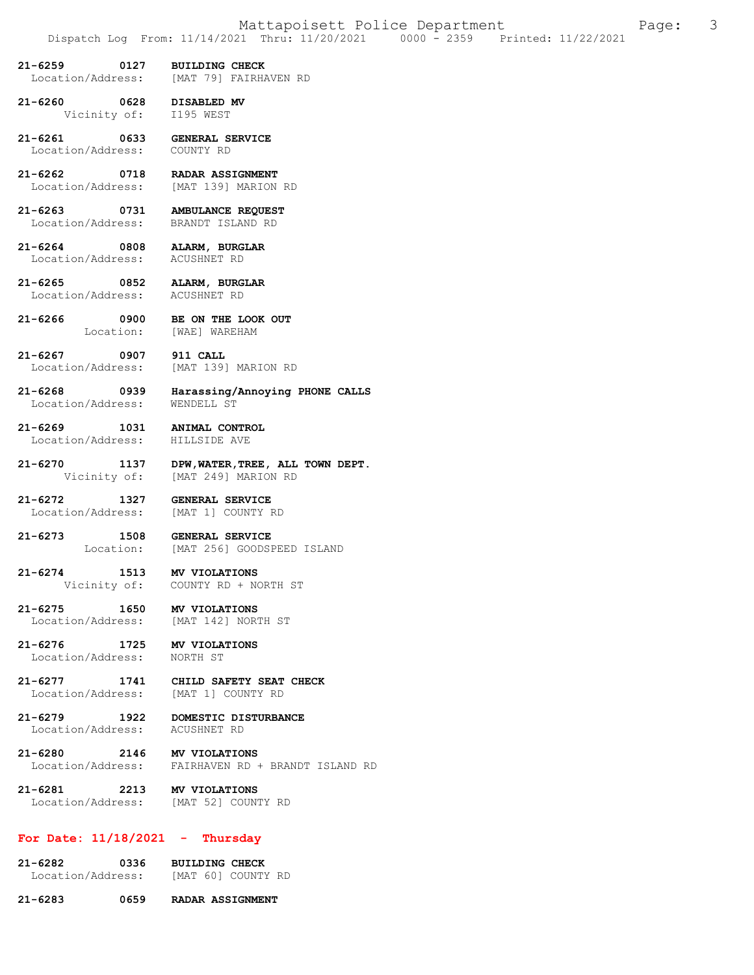- **21-6259 0127 BUILDING CHECK**  [MAT 79] FAIRHAVEN RD
- **21-6260 0628 DISABLED MV** 
	- Vicinity of: I195 WEST
- **21-6261 0633 GENERAL SERVICE**  Location/Address:
- **21-6262 0718 RADAR ASSIGNMENT**  Location/Address: [MAT 139] MARION RD
- **21-6263 0731 AMBULANCE REQUEST**  Location/Address:
- **21-6264 0808 ALARM, BURGLAR**  Location/Address: ACUSHNET RD
- **21-6265 0852 ALARM, BURGLAR**  Location/Address: ACUSHNET RD
	-
- **21-6266 0900 BE ON THE LOOK OUT**  Location: [WAE] WAREHAM
- **21-6267 0907 911 CALL**  Location/Address: [MAT 139] MARION RD
- **21-6268 0939 Harassing/Annoying PHONE CALLS**  Location/Address:
- **21-6269 1031 ANIMAL CONTROL**  Location/Address:
	-
- **21-6270 1137 DPW,WATER,TREE, ALL TOWN DEPT.**  Vicinity of: [MAT 249] MARION RD
- **21-6272 1327 GENERAL SERVICE**  Location/Address: [MAT 1] COUNTY RD
- **21-6273 1508 GENERAL SERVICE**  Location: [MAT 256] GOODSPEED ISLAND
- **21-6274 1513 MV VIOLATIONS**  COUNTY RD + NORTH ST
- **21-6275 1650 MV VIOLATIONS**  Location/Address:
- **21-6276 1725 MV VIOLATIONS**  Location/Address:
- **21-6277 1741 CHILD SAFETY SEAT CHECK**  Location/Address: [MAT 1] COUNTY RD
- **21-6279 1922 DOMESTIC DISTURBANCE**  Location/Address: ACUSHNET RD
- **21-6280 2146 MV VIOLATIONS**  Location/Address: FAIRHAVEN RD + BRANDT ISLAND RD
- **21-6281 2213 MV VIOLATIONS**  Location/Address: [MAT 52] COUNTY RD

### **For Date: 11/18/2021 - Thursday**

- **21-6282 0336 BUILDING CHECK**  Location/Address: [MAT 60] COUNTY RD
- **21-6283 0659 RADAR ASSIGNMENT**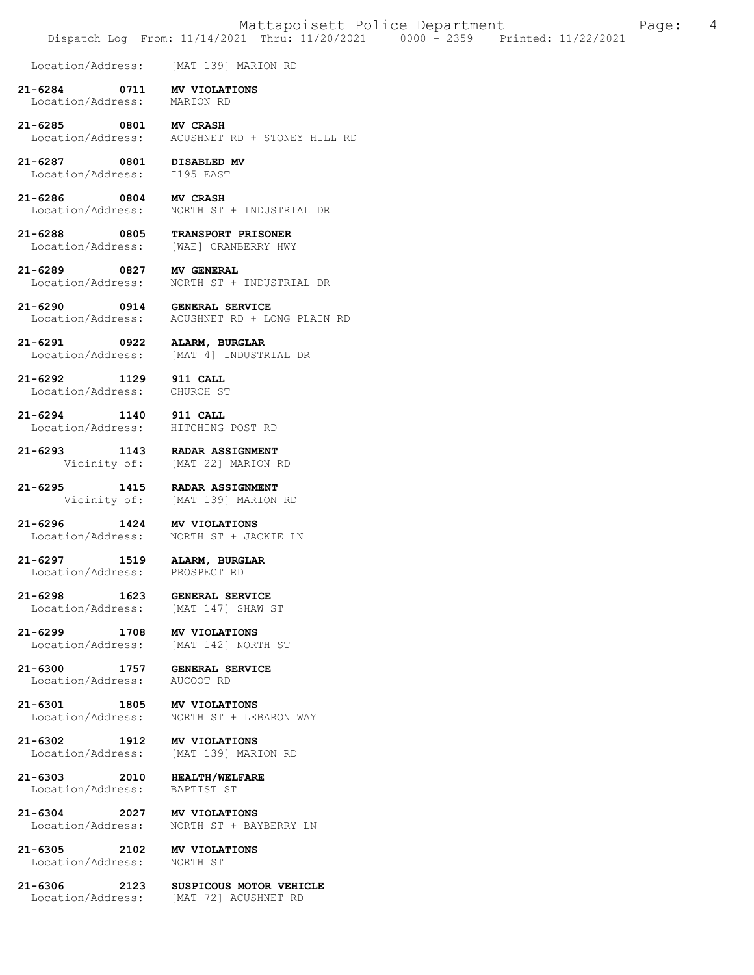Location/Address: [MAT 139] MARION RD

- **21-6284 0711 MV VIOLATIONS**  Location/Address:
- **21-6285 0801 MV CRASH**  Location/Address: ACUSHNET RD + STONEY HILL RD
- **21-6287 0801 DISABLED MV**  Location/Address:

**21-6286 0804 MV CRASH**  Location/Address: NORTH ST + INDUSTRIAL DR

**21-6288 0805 TRANSPORT PRISONER**  Location/Address: [WAE] CRANBERRY HWY

[MAT 139] MARION RD

Location/Address: NORTH ST + JACKIE LN

**21-6289 0827 MV GENERAL**  Location/Address: NORTH ST + INDUSTRIAL DR

**21-6290 0914 GENERAL SERVICE**  ACUSHNET RD + LONG PLAIN RD

**21-6291 0922 ALARM, BURGLAR**  Location/Address: [MAT 4] INDUSTRIAL DR

**21-6292 1129 911 CALL**  Location/Address: CHURCH ST

**21-6294 1140 911 CALL**  Location/Address:

**21-6293 1143 RADAR ASSIGNMENT**  Vicinity of: [MAT 22] MARION RD

**21-6295 1415 RADAR ASSIGNMENT**<br>Vicinity of: [MAT 139] MARION

**21-6296 1424 MV VIOLATIONS** 

**21-6297 1519 ALARM, BURGLAR**  Location/Address: PROSPECT RD

**21-6298 1623 GENERAL SERVICE**  Location/Address:

**21-6299 1708 MV VIOLATIONS**  Location/Address:

**21-6300 1757 GENERAL SERVICE**  Location/Address:

**21-6301 1805 MV VIOLATIONS** 

**21-6302 1912 MV VIOLATIONS**  Location/Address: [MAT 139] MARION RD

**21-6303 2010 HEALTH/WELFARE**  Location/Address: BAPTIST ST

**21-6304 2027 MV VIOLATIONS** 

**21-6305 2102 MV VIOLATIONS**  Location/Address:

**21-6306 2123 SUSPICOUS MOTOR VEHICLE**  Location/Address: [MAT 72] ACUSHNET RD

Location/Address: NORTH ST + BAYBERRY LN

NORTH ST + LEBARON WAY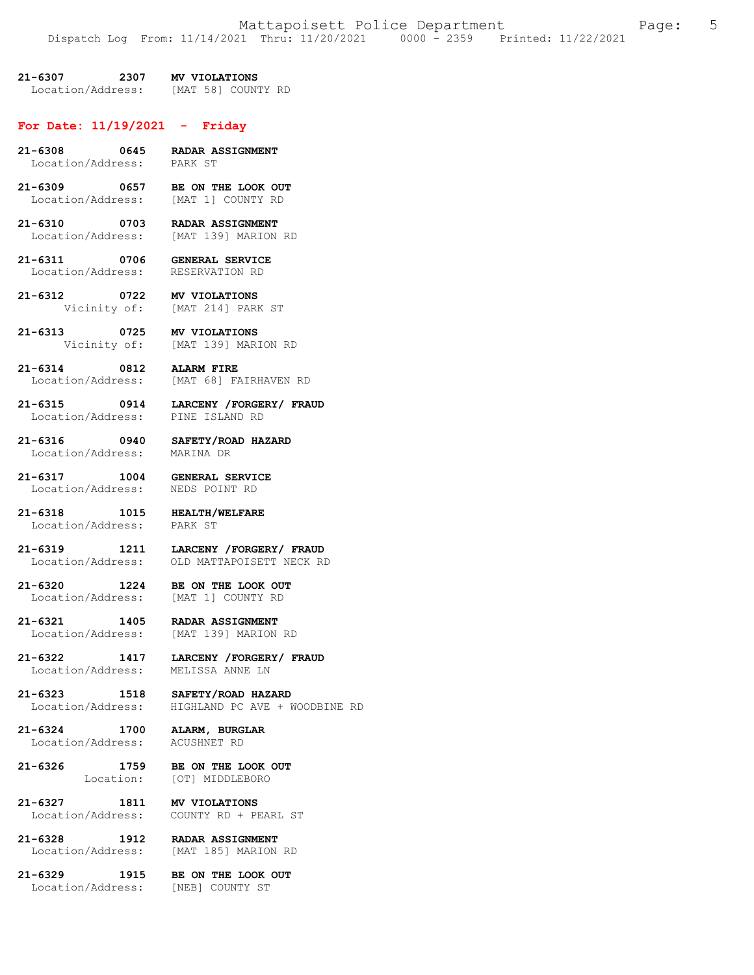**21-6307 2307 MV VIOLATIONS**  Location/Address: [MAT 58] COUNTY RD

# **For Date: 11/19/2021 - Friday**

| 21-6308 0645 RADAR ASSIGNMENT<br>Location/Address: PARK ST       |                                                                                      |
|------------------------------------------------------------------|--------------------------------------------------------------------------------------|
| 21-6309 0657 BE ON THE LOOK OUT                                  | Location/Address: [MAT 1] COUNTY RD                                                  |
| 21-6310 0703 RADAR ASSIGNMENT                                    | Location/Address: [MAT 139] MARION RD                                                |
| 21-6311 0706 GENERAL SERVICE<br>Location/Address: RESERVATION RD |                                                                                      |
| 21-6312 0722 MV VIOLATIONS                                       | Vicinity of: [MAT 214] PARK ST                                                       |
| 21-6313 0725 MV VIOLATIONS                                       | Vicinity of: [MAT 139] MARION RD                                                     |
| 21-6314 0812 ALARM FIRE                                          | Location/Address: [MAT 68] FAIRHAVEN RD                                              |
|                                                                  | 21-6315 0914 LARCENY /FORGERY/ FRAUD<br>Location/Address: PINE ISLAND RD             |
| 21-6316 0940 SAFETY/ROAD HAZARD<br>Location/Address: MARINA DR   |                                                                                      |
| 21-6317 1004 GENERAL SERVICE<br>Location/Address: NEDS POINT RD  |                                                                                      |
| 21-6318 1015 HEALTH/WELFARE<br>Location/Address: PARK ST         |                                                                                      |
|                                                                  | 21-6319 1211 LARCENY / FORGERY / FRAUD<br>Location/Address: OLD MATTAPOISETT NECK RD |
| 21-6320 1224 BE ON THE LOOK OUT                                  | Location/Address: [MAT 1] COUNTY RD                                                  |
| 21-6321 1405 RADAR ASSIGNMENT                                    | Location/Address: [MAT 139] MARION RD                                                |
| Location/Address: MELISSA ANNE LN                                | 21-6322 1417 LARCENY /FORGERY/ FRAUD                                                 |
| 21-6323 1518 SAFETY/ROAD HAZARD                                  | Location/Address: HIGHLAND PC AVE + WOODBINE RD                                      |
| 21-6324<br>Location/Address:                                     | 1700 ALARM, BURGLAR<br>ACUSHNET RD                                                   |
| 21-6326<br>Location:                                             | 1759 BE ON THE LOOK OUT<br>[OT] MIDDLEBORO                                           |
| 21-6327                                                          | -6327 1811 MV VIOLATIONS<br>Location/Address: COUNTY RD + PEARL ST<br>MV VIOLATIONS  |
| 21-6328                                                          | 1-6328 1912 RADAR ASSIGNMENT<br>Location/Address: [MAT 185] MARION RD                |
| 21-6329<br>1915<br>Location/Address: [NEB] COUNTY ST             | BE ON THE LOOK OUT                                                                   |